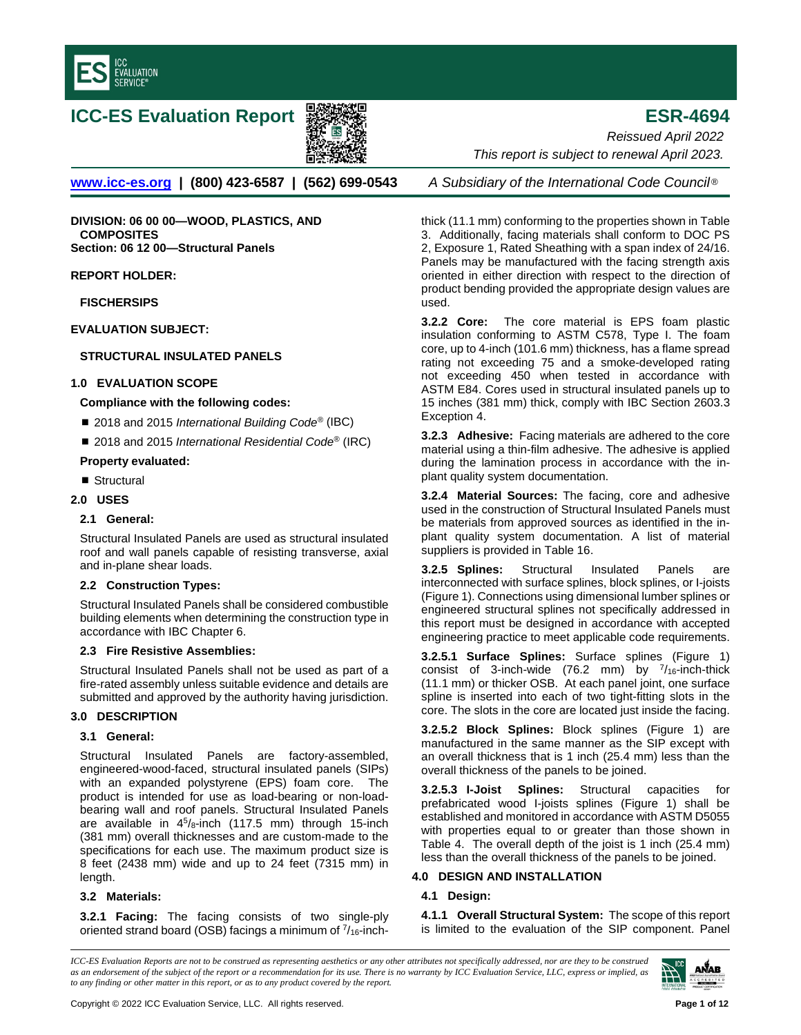

# **ICC-ES Evaluation Report ESR-4694**



**[www.icc-es.org](http://www.icc-es.org/) | (800) 423-6587 | (562) 699-0543** *A Subsidiary of the International Code Council* ®

**DIVISION: 06 00 00—WOOD, PLASTICS, AND COMPOSITES Section: 06 12 00—Structural Panels**

**REPORT HOLDER:**

**FISCHERSIPS** 

**EVALUATION SUBJECT:** 

# **STRUCTURAL INSULATED PANELS**

## **1.0 EVALUATION SCOPE**

## **Compliance with the following codes:**

- 2018 and 2015 *International Building Code<sup>®</sup>* (IBC)
- 2018 and 2015 *International Residential Code<sup>®</sup>* (IRC)

## **Property evaluated:**

■ Structural

# **2.0 USES**

## **2.1 General:**

Structural Insulated Panels are used as structural insulated roof and wall panels capable of resisting transverse, axial and in-plane shear loads.

# **2.2 Construction Types:**

Structural Insulated Panels shall be considered combustible building elements when determining the construction type in accordance with IBC Chapter 6.

# **2.3 Fire Resistive Assemblies:**

Structural Insulated Panels shall not be used as part of a fire-rated assembly unless suitable evidence and details are submitted and approved by the authority having jurisdiction.

# **3.0 DESCRIPTION**

# **3.1 General:**

Structural Insulated Panels are factory-assembled, engineered-wood-faced, structural insulated panels (SIPs) with an expanded polystyrene (EPS) foam core. The product is intended for use as load-bearing or non-loadbearing wall and roof panels. Structural Insulated Panels are available in  $4^5$ /8-inch (117.5 mm) through 15-inch (381 mm) overall thicknesses and are custom-made to the specifications for each use. The maximum product size is 8 feet (2438 mm) wide and up to 24 feet (7315 mm) in length.

# **3.2 Materials:**

**3.2.1 Facing:** The facing consists of two single-ply oriented strand board (OSB) facings a minimum of  $\frac{7}{16}$ -inch-

*Reissued April 2022 This report is subject to renewal April 2023.* 

thick (11.1 mm) conforming to the properties shown in Table 3. Additionally, facing materials shall conform to DOC PS 2, Exposure 1, Rated Sheathing with a span index of 24/16. Panels may be manufactured with the facing strength axis oriented in either direction with respect to the direction of product bending provided the appropriate design values are used.

**3.2.2 Core:** The core material is EPS foam plastic insulation conforming to ASTM C578, Type I. The foam core, up to 4-inch (101.6 mm) thickness, has a flame spread rating not exceeding 75 and a smoke-developed rating not exceeding 450 when tested in accordance with ASTM E84. Cores used in structural insulated panels up to 15 inches (381 mm) thick, comply with IBC Section 2603.3 Exception 4.

**3.2.3 Adhesive:** Facing materials are adhered to the core material using a thin-film adhesive. The adhesive is applied during the lamination process in accordance with the inplant quality system documentation.

**3.2.4 Material Sources:** The facing, core and adhesive used in the construction of Structural Insulated Panels must be materials from approved sources as identified in the inplant quality system documentation. A list of material suppliers is provided in Table 16.

**3.2.5 Splines:** Structural Insulated Panels are interconnected with surface splines, block splines, or I-joists (Figure 1). Connections using dimensional lumber splines or engineered structural splines not specifically addressed in this report must be designed in accordance with accepted engineering practice to meet applicable code requirements.

**3.2.5.1 Surface Splines:** Surface splines (Figure 1) consist of 3-inch-wide (76.2 mm) by  $\frac{7}{16}$ -inch-thick (11.1 mm) or thicker OSB. At each panel joint, one surface spline is inserted into each of two tight-fitting slots in the core. The slots in the core are located just inside the facing.

**3.2.5.2 Block Splines:** Block splines (Figure 1) are manufactured in the same manner as the SIP except with an overall thickness that is 1 inch (25.4 mm) less than the overall thickness of the panels to be joined.

**3.2.5.3 I-Joist Splines:** Structural capacities for prefabricated wood I-joists splines (Figure 1) shall be established and monitored in accordance with ASTM D5055 with properties equal to or greater than those shown in Table 4. The overall depth of the joist is 1 inch (25.4 mm) less than the overall thickness of the panels to be joined.

# **4.0 DESIGN AND INSTALLATION**

# **4.1 Design:**

**4.1.1 Overall Structural System:** The scope of this report is limited to the evaluation of the SIP component. Panel

*ICC-ES Evaluation Reports are not to be construed as representing aesthetics or any other attributes not specifically addressed, nor are they to be construed as an endorsement of the subject of the report or a recommendation for its use. There is no warranty by ICC Evaluation Service, LLC, express or implied, as to any finding or other matter in this report, or as to any product covered by the report.*

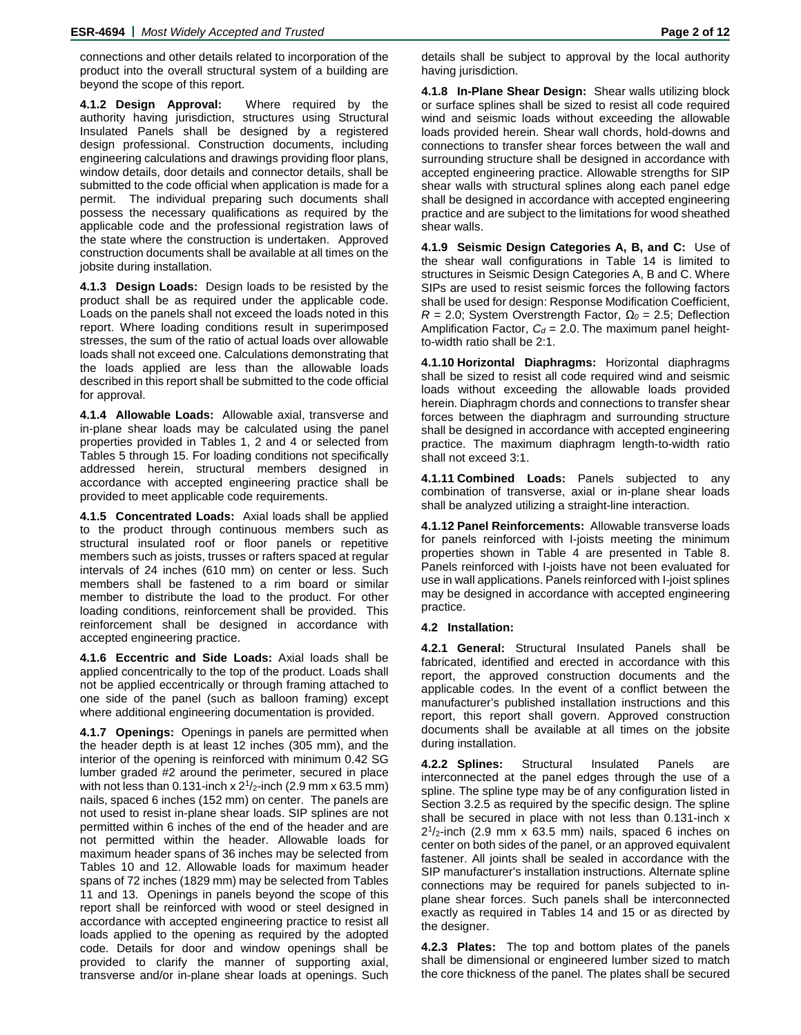connections and other details related to incorporation of the product into the overall structural system of a building are beyond the scope of this report.

**4.1.2 Design Approval:** Where required by the authority having jurisdiction, structures using Structural Insulated Panels shall be designed by a registered design professional. Construction documents, including engineering calculations and drawings providing floor plans, window details, door details and connector details, shall be submitted to the code official when application is made for a permit. The individual preparing such documents shall possess the necessary qualifications as required by the applicable code and the professional registration laws of the state where the construction is undertaken. Approved construction documents shall be available at all times on the jobsite during installation.

**4.1.3 Design Loads:** Design loads to be resisted by the product shall be as required under the applicable code. Loads on the panels shall not exceed the loads noted in this report. Where loading conditions result in superimposed stresses, the sum of the ratio of actual loads over allowable loads shall not exceed one. Calculations demonstrating that the loads applied are less than the allowable loads described in this report shall be submitted to the code official for approval.

**4.1.4 Allowable Loads:** Allowable axial, transverse and in-plane shear loads may be calculated using the panel properties provided in Tables 1, 2 and 4 or selected from Tables 5 through 15. For loading conditions not specifically addressed herein, structural members designed in accordance with accepted engineering practice shall be provided to meet applicable code requirements.

**4.1.5 Concentrated Loads:** Axial loads shall be applied to the product through continuous members such as structural insulated roof or floor panels or repetitive members such as joists, trusses or rafters spaced at regular intervals of 24 inches (610 mm) on center or less. Such members shall be fastened to a rim board or similar member to distribute the load to the product. For other loading conditions, reinforcement shall be provided. This reinforcement shall be designed in accordance with accepted engineering practice.

**4.1.6 Eccentric and Side Loads:** Axial loads shall be applied concentrically to the top of the product. Loads shall not be applied eccentrically or through framing attached to one side of the panel (such as balloon framing) except where additional engineering documentation is provided.

**4.1.7 Openings:** Openings in panels are permitted when the header depth is at least 12 inches (305 mm), and the interior of the opening is reinforced with minimum 0.42 SG lumber graded #2 around the perimeter, secured in place with not less than 0.131-inch x  $2^{1}/2$ -inch (2.9 mm x 63.5 mm) nails, spaced 6 inches (152 mm) on center. The panels are not used to resist in-plane shear loads. SIP splines are not permitted within 6 inches of the end of the header and are not permitted within the header. Allowable loads for maximum header spans of 36 inches may be selected from Tables 10 and 12. Allowable loads for maximum header spans of 72 inches (1829 mm) may be selected from Tables 11 and 13. Openings in panels beyond the scope of this report shall be reinforced with wood or steel designed in accordance with accepted engineering practice to resist all loads applied to the opening as required by the adopted code. Details for door and window openings shall be provided to clarify the manner of supporting axial, transverse and/or in-plane shear loads at openings. Such

**4.1.8 In-Plane Shear Design:** Shear walls utilizing block or surface splines shall be sized to resist all code required wind and seismic loads without exceeding the allowable loads provided herein. Shear wall chords, hold-downs and connections to transfer shear forces between the wall and surrounding structure shall be designed in accordance with accepted engineering practice. Allowable strengths for SIP shear walls with structural splines along each panel edge shall be designed in accordance with accepted engineering practice and are subject to the limitations for wood sheathed shear walls.

**4.1.9 Seismic Design Categories A, B, and C:** Use of the shear wall configurations in Table 14 is limited to structures in Seismic Design Categories A, B and C. Where SIPs are used to resist seismic forces the following factors shall be used for design: Response Modification Coefficient, *R* = 2.0; System Overstrength Factor, *Ω<sup>0</sup>* = 2.5; Deflection Amplification Factor,  $C_d = 2.0$ . The maximum panel heightto-width ratio shall be 2:1.

**4.1.10 Horizontal Diaphragms:** Horizontal diaphragms shall be sized to resist all code required wind and seismic loads without exceeding the allowable loads provided herein. Diaphragm chords and connections to transfer shear forces between the diaphragm and surrounding structure shall be designed in accordance with accepted engineering practice. The maximum diaphragm length-to-width ratio shall not exceed 3:1.

**4.1.11 Combined Loads:** Panels subjected to any combination of transverse, axial or in-plane shear loads shall be analyzed utilizing a straight-line interaction.

**4.1.12 Panel Reinforcements:** Allowable transverse loads for panels reinforced with I-joists meeting the minimum properties shown in Table 4 are presented in Table 8. Panels reinforced with I-joists have not been evaluated for use in wall applications. Panels reinforced with I-joist splines may be designed in accordance with accepted engineering practice.

## **4.2 Installation:**

**4.2.1 General:** Structural Insulated Panels shall be fabricated, identified and erected in accordance with this report, the approved construction documents and the applicable codes. In the event of a conflict between the manufacturer's published installation instructions and this report, this report shall govern. Approved construction documents shall be available at all times on the jobsite during installation.

**4.2.2 Splines:** Structural Insulated Panels are interconnected at the panel edges through the use of a spline. The spline type may be of any configuration listed in Section 3.2.5 as required by the specific design. The spline shall be secured in place with not less than 0.131-inch x  $2^{1}/2$ -inch (2.9 mm x 63.5 mm) nails, spaced 6 inches on center on both sides of the panel, or an approved equivalent fastener. All joints shall be sealed in accordance with the SIP manufacturer's installation instructions. Alternate spline connections may be required for panels subjected to inplane shear forces. Such panels shall be interconnected exactly as required in Tables 14 and 15 or as directed by the designer.

**4.2.3 Plates:** The top and bottom plates of the panels shall be dimensional or engineered lumber sized to match the core thickness of the panel. The plates shall be secured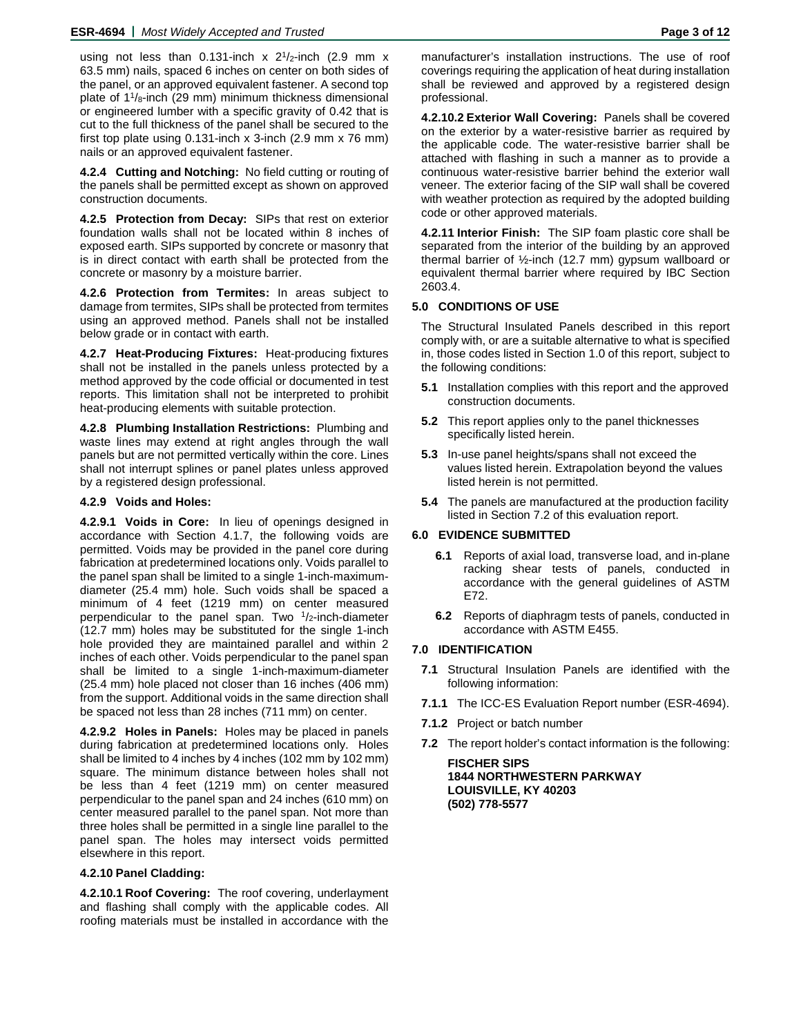using not less than 0.131-inch  $x$  2<sup>1</sup>/<sub>2</sub>-inch (2.9 mm  $x$ 63.5 mm) nails, spaced 6 inches on center on both sides of the panel, or an approved equivalent fastener. A second top plate of  $1\frac{1}{8}$ -inch (29 mm) minimum thickness dimensional or engineered lumber with a specific gravity of 0.42 that is cut to the full thickness of the panel shall be secured to the first top plate using  $0.131$ -inch x 3-inch  $(2.9 \text{ mm} \times 76 \text{ mm})$ nails or an approved equivalent fastener.

**4.2.4 Cutting and Notching:** No field cutting or routing of the panels shall be permitted except as shown on approved construction documents.

**4.2.5 Protection from Decay:** SIPs that rest on exterior foundation walls shall not be located within 8 inches of exposed earth. SIPs supported by concrete or masonry that is in direct contact with earth shall be protected from the concrete or masonry by a moisture barrier.

**4.2.6 Protection from Termites:** In areas subject to damage from termites, SIPs shall be protected from termites using an approved method. Panels shall not be installed below grade or in contact with earth.

**4.2.7 Heat-Producing Fixtures:** Heat-producing fixtures shall not be installed in the panels unless protected by a method approved by the code official or documented in test reports. This limitation shall not be interpreted to prohibit heat-producing elements with suitable protection.

**4.2.8 Plumbing Installation Restrictions:** Plumbing and waste lines may extend at right angles through the wall panels but are not permitted vertically within the core. Lines shall not interrupt splines or panel plates unless approved by a registered design professional.

#### **4.2.9 Voids and Holes:**

**4.2.9.1 Voids in Core:** In lieu of openings designed in accordance with Section 4.1.7, the following voids are permitted. Voids may be provided in the panel core during fabrication at predetermined locations only. Voids parallel to the panel span shall be limited to a single 1-inch-maximumdiameter (25.4 mm) hole. Such voids shall be spaced a minimum of 4 feet (1219 mm) on center measured perpendicular to the panel span. Two  $1/2$ -inch-diameter (12.7 mm) holes may be substituted for the single 1-inch hole provided they are maintained parallel and within 2 inches of each other. Voids perpendicular to the panel span shall be limited to a single 1-inch-maximum-diameter (25.4 mm) hole placed not closer than 16 inches (406 mm) from the support. Additional voids in the same direction shall be spaced not less than 28 inches (711 mm) on center.

**4.2.9.2 Holes in Panels:** Holes may be placed in panels during fabrication at predetermined locations only. Holes shall be limited to 4 inches by 4 inches (102 mm by 102 mm) square. The minimum distance between holes shall not be less than 4 feet (1219 mm) on center measured perpendicular to the panel span and 24 inches (610 mm) on center measured parallel to the panel span. Not more than three holes shall be permitted in a single line parallel to the panel span. The holes may intersect voids permitted elsewhere in this report.

#### **4.2.10 Panel Cladding:**

**4.2.10.1 Roof Covering:** The roof covering, underlayment and flashing shall comply with the applicable codes. All roofing materials must be installed in accordance with the

manufacturer's installation instructions. The use of roof coverings requiring the application of heat during installation shall be reviewed and approved by a registered design professional.

**4.2.10.2 Exterior Wall Covering:** Panels shall be covered on the exterior by a water-resistive barrier as required by the applicable code. The water-resistive barrier shall be attached with flashing in such a manner as to provide a continuous water-resistive barrier behind the exterior wall veneer. The exterior facing of the SIP wall shall be covered with weather protection as required by the adopted building code or other approved materials.

**4.2.11 Interior Finish:** The SIP foam plastic core shall be separated from the interior of the building by an approved thermal barrier of ½-inch (12.7 mm) gypsum wallboard or equivalent thermal barrier where required by IBC Section 2603.4.

#### **5.0 CONDITIONS OF USE**

The Structural Insulated Panels described in this report comply with, or are a suitable alternative to what is specified in, those codes listed in Section 1.0 of this report, subject to the following conditions:

- **5.1** Installation complies with this report and the approved construction documents.
- **5.2** This report applies only to the panel thicknesses specifically listed herein.
- **5.3** In-use panel heights/spans shall not exceed the values listed herein. Extrapolation beyond the values listed herein is not permitted.
- **5.4** The panels are manufactured at the production facility listed in Section 7.2 of this evaluation report.

## **6.0 EVIDENCE SUBMITTED**

- **6.1** Reports of axial load, transverse load, and in-plane racking shear tests of panels, conducted in accordance with the general guidelines of ASTM E72.
- **6.2** Reports of diaphragm tests of panels, conducted in accordance with ASTM E455.

## **7.0 IDENTIFICATION**

- **7.1** Structural Insulation Panels are identified with the following information:
- **7.1.1** The ICC-ES Evaluation Report number (ESR-4694).
- **7.1.2** Project or batch number
- **7.2** The report holder's contact information is the following:

**FISCHER SIPS 1844 NORTHWESTERN PARKWAY LOUISVILLE, KY 40203 (502) 778-5577**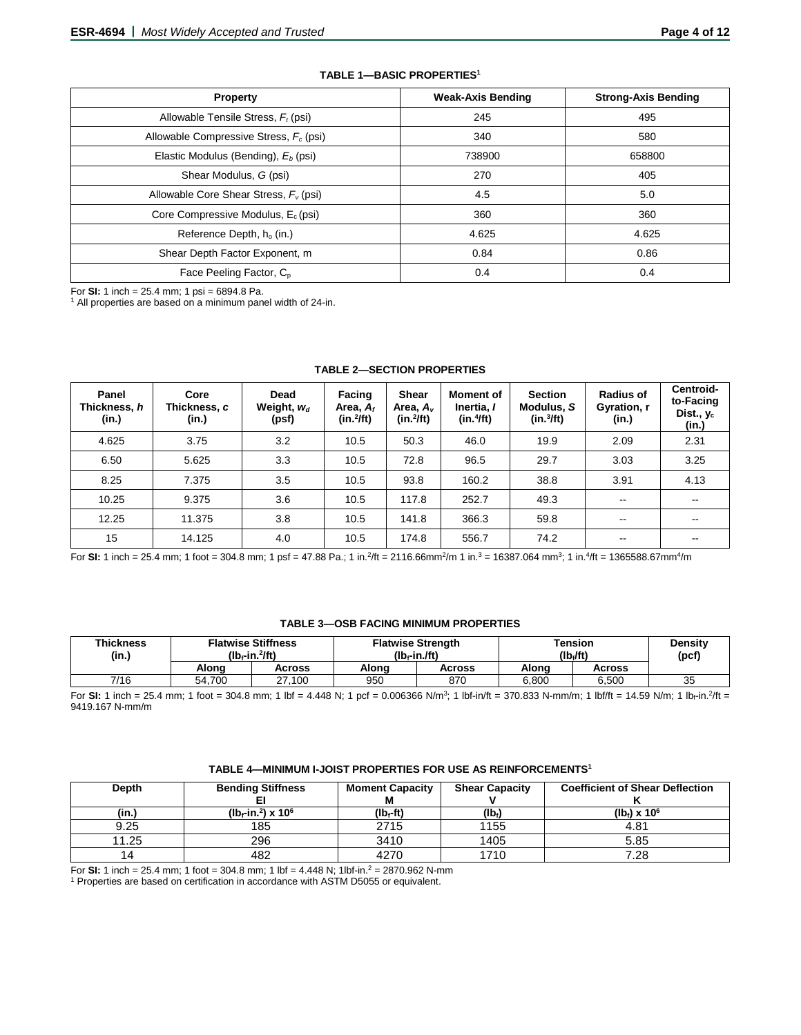| <b>Property</b>                           | <b>Weak-Axis Bending</b> | <b>Strong-Axis Bending</b> |  |
|-------------------------------------------|--------------------------|----------------------------|--|
| Allowable Tensile Stress, $F_t$ (psi)     | 245                      | 495                        |  |
| Allowable Compressive Stress, $F_c$ (psi) | 340                      | 580                        |  |
| Elastic Modulus (Bending), $E_b$ (psi)    | 738900                   | 658800                     |  |
| Shear Modulus, G (psi)                    | 270                      | 405                        |  |
| Allowable Core Shear Stress, $F_v$ (psi)  | 4.5                      | 5.0                        |  |
| Core Compressive Modulus, $E_c$ (psi)     | 360                      | 360                        |  |
| Reference Depth, h <sub>o</sub> (in.)     | 4.625                    | 4.625                      |  |
| Shear Depth Factor Exponent, m            | 0.84                     | 0.86                       |  |
| Face Peeling Factor, C <sub>p</sub>       | 0.4                      | 0.4                        |  |

#### **TABLE 1—BASIC PROPERTIES1**

For **SI:** 1 inch = 25.4 mm; 1 psi = 6894.8 Pa.<br><sup>1</sup> All properties are based on a minimum panel width of 24-in.

| Panel<br>Thickness, h<br>(in.) | Core<br>Thickness, c<br>(in.) | Dead<br>Weight, $w_d$<br>(psf) | Facing<br>Area, $A_f$<br>$(in.^2$ ft) | <b>Shear</b><br>Area, A <sub>v</sub><br>$(in.^2/ft)$ | <b>Moment of</b><br>Inertia, I<br>(in.4ft) | <b>Section</b><br>Modulus, S<br>(in.3ft) | <b>Radius of</b><br>Gyration, r<br>(in.) | Centroid-<br>to-Facing<br>Dist., $y_c$<br>(in.) |
|--------------------------------|-------------------------------|--------------------------------|---------------------------------------|------------------------------------------------------|--------------------------------------------|------------------------------------------|------------------------------------------|-------------------------------------------------|
| 4.625                          | 3.75                          | 3.2                            | 10.5                                  | 50.3                                                 | 46.0                                       | 19.9                                     | 2.09                                     | 2.31                                            |
| 6.50                           | 5.625                         | 3.3                            | 10.5                                  | 72.8                                                 | 96.5                                       | 29.7                                     | 3.03                                     | 3.25                                            |
| 8.25                           | 7.375                         | 3.5                            | 10.5                                  | 93.8                                                 | 160.2                                      | 38.8                                     | 3.91                                     | 4.13                                            |
| 10.25                          | 9.375                         | 3.6                            | 10.5                                  | 117.8                                                | 252.7                                      | 49.3                                     | $-$                                      | --                                              |
| 12.25                          | 11.375                        | 3.8                            | 10.5                                  | 141.8                                                | 366.3                                      | 59.8                                     | $\overline{\phantom{m}}$                 | --                                              |
| 15                             | 14.125                        | 4.0                            | 10.5                                  | 174.8                                                | 556.7                                      | 74.2                                     | $\overline{\phantom{a}}$                 | --                                              |

#### **TABLE 2—SECTION PROPERTIES**

For **SI:** 1 inch = 25.4 mm; 1 foot = 304.8 mm; 1 psf = 47.88 Pa.; 1 in.<sup>2</sup>/ft = 2116.66mm<sup>2</sup>/m 1 in.<sup>3</sup> = 16387.064 mm<sup>3</sup>; 1 in.<sup>4</sup>/ft = 1365588.67mm<sup>4</sup>/m

## **TABLE 3—OSB FACING MINIMUM PROPERTIES**

| <b>Thickness</b><br>(in.) |        | <b>Flatwise Stiffness</b><br>$(Ib-fin.^2$ ft) | <b>Flatwise Strength</b><br>$(Ib - in$ $Jft)$ |        | <b>Tension</b><br>(lb./ft) | Densitv<br>(pcf' |    |
|---------------------------|--------|-----------------------------------------------|-----------------------------------------------|--------|----------------------------|------------------|----|
|                           | Alona  | Across                                        | Alona                                         | Across | Alona                      | Across           |    |
| 7/16                      | 54.700 | 27.100                                        | 950                                           | 870    | 6.800                      | 6.500            | 35 |

For **SI:** 1 inch = 25.4 mm; 1 foot = 304.8 mm; 1 lbf = 4.448 N; 1 pcf = 0.006366 N/m<sup>3</sup>; 1 lbf-in/ft = 370.833 N-mm/m; 1 lbf/ft = 14.59 N/m; 1 lb<sub>f</sub>-in.<sup>2</sup>/ft = 9419.167 N-mm/m

## **TABLE 4—MINIMUM I-JOIST PROPERTIES FOR USE AS REINFORCEMENTS1**

| Depth | <b>Bending Stiffness</b>         | <b>Moment Capacity</b> | <b>Shear Capacity</b> | <b>Coefficient of Shear Deflection</b> |
|-------|----------------------------------|------------------------|-----------------------|----------------------------------------|
|       |                                  |                        |                       |                                        |
| (in.) | $(lb_f-in.^2)$ x 10 <sup>6</sup> | (lb <sub>f</sub> -ft)  | $(Ib_i)$              | $(lb) \times 10^6$                     |
| 9.25  | 185                              | 2715                   | 1155                  | 4.81                                   |
| 11.25 | 296                              | 3410                   | 1405                  | 5.85                                   |
| 14    | 482                              | 4270                   | 1710                  | 7.28                                   |

For **SI:** 1 inch = 25.4 mm; 1 foot = 304.8 mm; 1 lbf = 4.448 N; 1lbf-in.2 = 2870.962 N-mm

<sup>1</sup> Properties are based on certification in accordance with ASTM D5055 or equivalent.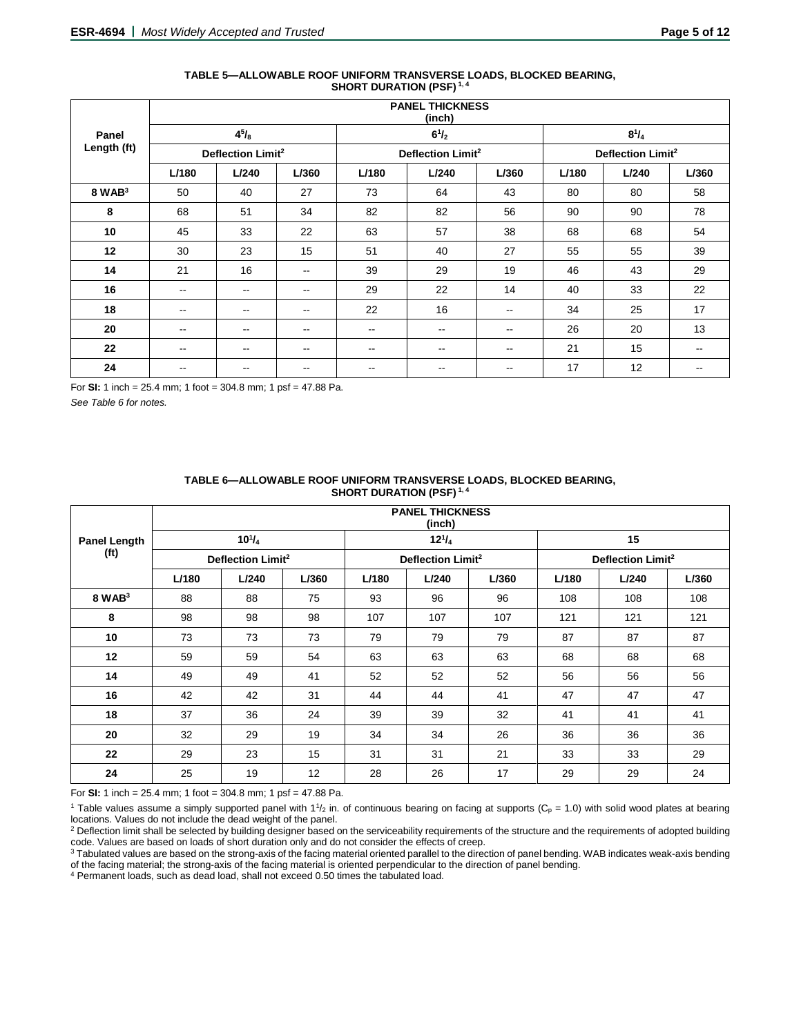|             |                          |                               |                          |                          | <b>PANEL THICKNESS</b><br>(inch) |                          |       |                               |       |
|-------------|--------------------------|-------------------------------|--------------------------|--------------------------|----------------------------------|--------------------------|-------|-------------------------------|-------|
| Panel       |                          | $4^{5}/_{8}$                  |                          |                          | $6^{1}/_{2}$                     |                          |       | $8^{1}/_{4}$                  |       |
| Length (ft) |                          | Deflection Limit <sup>2</sup> |                          |                          | Deflection Limit <sup>2</sup>    |                          |       | Deflection Limit <sup>2</sup> |       |
|             | L/180                    | L/240                         | L/360                    | L/180                    | L/240                            | L/360                    | L/180 | L/240                         | L/360 |
| $8$ WAB $3$ | 50                       | 40                            | 27                       | 73                       | 64                               | 43                       | 80    | 80                            | 58    |
| 8           | 68                       | 51                            | 34                       | 82                       | 82                               | 56                       | 90    | 90                            | 78    |
| 10          | 45                       | 33                            | 22                       | 63                       | 57                               | 38                       | 68    | 68                            | 54    |
| 12          | 30                       | 23                            | 15                       | 51                       | 40                               | 27                       | 55    | 55                            | 39    |
| 14          | 21                       | 16                            | $\sim$ $\sim$            | 39                       | 29                               | 19                       | 46    | 43                            | 29    |
| 16          | $\overline{\phantom{m}}$ | $\overline{\phantom{m}}$      | $\overline{\phantom{m}}$ | 29                       | 22                               | 14                       | 40    | 33                            | 22    |
| 18          | $\sim$ $\sim$            | $\hspace{0.05cm}$             | $\sim$ $\sim$            | 22                       | 16                               | $\sim$ $\sim$            | 34    | 25                            | 17    |
| 20          | $\sim$ $\sim$            | $\overline{\phantom{m}}$      | $\sim$ $\sim$            | $\overline{\phantom{a}}$ | $\overline{\phantom{a}}$         | $\sim$ $\sim$            | 26    | 20                            | 13    |
| 22          | $\sim$                   | $- -$                         | $\overline{\phantom{a}}$ | $\overline{\phantom{a}}$ | --                               | $\overline{\phantom{a}}$ | 21    | 15                            | --    |
| 24          | $\qquad \qquad -$        | --                            | --                       | $- -$                    | --                               | $\overline{\phantom{m}}$ | 17    | 12                            | $- -$ |

#### **TABLE 5—ALLOWABLE ROOF UNIFORM TRANSVERSE LOADS, BLOCKED BEARING, SHORT DURATION (PSF) 1, 4**

For **SI:** 1 inch = 25.4 mm; 1 foot = 304.8 mm; 1 psf = 47.88 Pa.

*See Table 6 for notes.*

|                   |       | <b>PANEL THICKNESS</b><br>(inch) |       |       |                               |       |       |                               |       |
|-------------------|-------|----------------------------------|-------|-------|-------------------------------|-------|-------|-------------------------------|-------|
| Panel Length      |       | $10^{1}/_{4}$                    |       |       | $12^{1}/_{4}$                 |       |       | 15                            |       |
| (f <sup>t</sup> ) |       | Deflection Limit <sup>2</sup>    |       |       | Deflection Limit <sup>2</sup> |       |       | Deflection Limit <sup>2</sup> |       |
|                   | L/180 | L/240                            | L/360 | L/180 | L/240                         | L/360 | L/180 | L/240                         | L/360 |
| $8$ WAB $3$       | 88    | 88                               | 75    | 93    | 96                            | 96    | 108   | 108                           | 108   |
| 8                 | 98    | 98                               | 98    | 107   | 107                           | 107   | 121   | 121                           | 121   |
| 10                | 73    | 73                               | 73    | 79    | 79                            | 79    | 87    | 87                            | 87    |
| 12                | 59    | 59                               | 54    | 63    | 63                            | 63    | 68    | 68                            | 68    |
| 14                | 49    | 49                               | 41    | 52    | 52                            | 52    | 56    | 56                            | 56    |
| 16                | 42    | 42                               | 31    | 44    | 44                            | 41    | 47    | 47                            | 47    |
| 18                | 37    | 36                               | 24    | 39    | 39                            | 32    | 41    | 41                            | 41    |
| 20                | 32    | 29                               | 19    | 34    | 34                            | 26    | 36    | 36                            | 36    |
| 22                | 29    | 23                               | 15    | 31    | 31                            | 21    | 33    | 33                            | 29    |
| 24                | 25    | 19                               | 12    | 28    | 26                            | 17    | 29    | 29                            | 24    |

#### **TABLE 6—ALLOWABLE ROOF UNIFORM TRANSVERSE LOADS, BLOCKED BEARING, SHORT DURATION (PSF) 1, 4**

For **SI:** 1 inch = 25.4 mm; 1 foot = 304.8 mm; 1 psf = 47.88 Pa.

<sup>1</sup> Table values assume a simply supported panel with  $1\frac{1}{2}$  in. of continuous bearing on facing at supports (C<sub>p</sub> = 1.0) with solid wood plates at bearing locations. Values do not include the dead weight of the panel.

<sup>2</sup> Deflection limit shall be selected by building designer based on the serviceability requirements of the structure and the requirements of adopted building code. Values are based on loads of short duration only and do not consider the effects of creep.

<sup>3</sup> Tabulated values are based on the strong-axis of the facing material oriented parallel to the direction of panel bending. WAB indicates weak-axis bending of the facing material; the strong-axis of the facing material is oriented perpendicular to the direction of panel bending.

<sup>4</sup> Permanent loads, such as dead load, shall not exceed 0.50 times the tabulated load.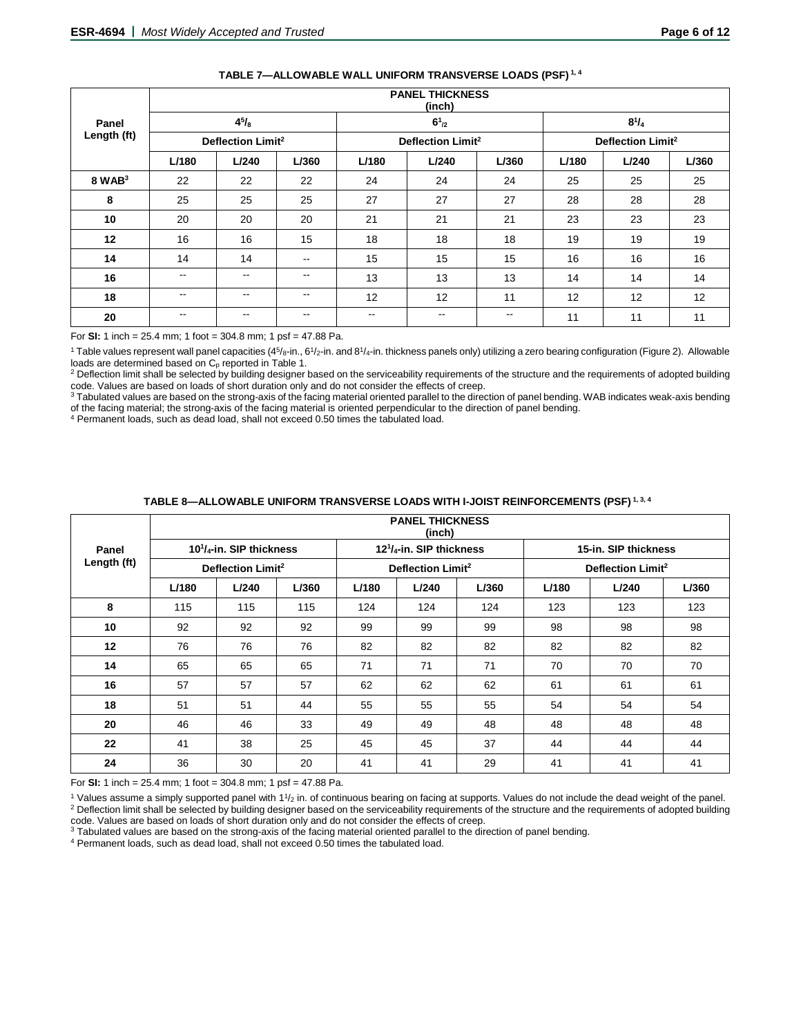|             |               |                               |               |       | <b>FANEL INIUNNESS</b><br>(inch) |               |       |                               |       |  |
|-------------|---------------|-------------------------------|---------------|-------|----------------------------------|---------------|-------|-------------------------------|-------|--|
| Panel       |               | $4^{5}/_{8}$                  |               |       | $6^{1}_{2}$                      |               |       | $8^{1}/_{4}$                  |       |  |
| Length (ft) |               | Deflection Limit <sup>2</sup> |               |       | Deflection Limit <sup>2</sup>    |               |       | Deflection Limit <sup>2</sup> |       |  |
|             | L/180         | L/240                         | L/360         | L/180 | L/240                            | L/360         | L/180 | L/240                         | L/360 |  |
| $8$ WAB $3$ | 22            | 22                            | 22            | 24    | 24                               | 24            | 25    | 25                            | 25    |  |
| 8           | 25            | 25                            | 25            | 27    | 27                               | 27            | 28    | 28                            | 28    |  |
| 10          | 20            | 20                            | 20            | 21    | 21                               | 21            | 23    | 23                            | 23    |  |
| 12          | 16            | 16                            | 15            | 18    | 18                               | 18            | 19    | 19                            | 19    |  |
| 14          | 14            | 14                            | $\sim$ $\sim$ | 15    | 15                               | 15            | 16    | 16                            | 16    |  |
| 16          | $\sim$ $\sim$ | $\overline{\phantom{a}}$      | $\sim$ $\sim$ | 13    | 13                               | 13            | 14    | 14                            | 14    |  |
| 18          | $\sim$ $\sim$ | $\sim$ $\sim$                 | $\sim$ $-$    | 12    | 12                               | 11            | 12    | 12                            | 12    |  |
| 20          | $\sim$ $\sim$ | $\overline{\phantom{m}}$      | $\sim$ $\sim$ | --    | --                               | $\sim$ $\sim$ | 11    | 11                            | 11    |  |

## **TABLE 7—ALLOWABLE WALL UNIFORM TRANSVERSE LOADS (PSF) 1, 4**

**PANEL THICKNESS**

For **SI:** 1 inch = 25.4 mm; 1 foot = 304.8 mm; 1 psf = 47.88 Pa.

<sup>1</sup> Table values represent wall panel capacities (4<sup>5</sup>/8-in., 6<sup>1</sup>/2-in. and 8<sup>1</sup>/4-in. thickness panels only) utilizing a zero bearing configuration (Figure 2). Allowable

loads are determined based on C<sub>p</sub> reported in Table 1.<br><sup>2</sup> Deflection limit shall be selected by building designer based on the serviceability requirements of the structure and the requirements of adopted building code. Values are based on loads of short duration only and do not consider the effects of creep.

3 Tabulated values are based on the strong-axis of the facing material oriented parallel to the direction of panel bending. WAB indicates weak-axis bending of the facing material; the strong-axis of the facing material is oriented perpendicular to the direction of panel bending.

<sup>4</sup> Permanent loads, such as dead load, shall not exceed 0.50 times the tabulated load.

|             |       |                                  |       |       | <b>PANEL THICKNESS</b>           |       |       |                               |       |
|-------------|-------|----------------------------------|-------|-------|----------------------------------|-------|-------|-------------------------------|-------|
|             |       |                                  |       |       | (inch)                           |       |       |                               |       |
| Panel       |       | $10^{1}/_{4}$ -in. SIP thickness |       |       | $12^{1}/_{4}$ -in. SIP thickness |       |       | 15-in. SIP thickness          |       |
| Length (ft) |       | Deflection Limit <sup>2</sup>    |       |       | Deflection Limit <sup>2</sup>    |       |       | Deflection Limit <sup>2</sup> |       |
|             | L/180 | L/240                            | L/360 | L/180 | L/240                            | L/360 | L/180 | L/240                         | L/360 |
| 8           | 115   | 115                              | 115   | 124   | 124                              | 124   | 123   | 123                           | 123   |
| 10          | 92    | 92                               | 92    | 99    | 99                               | 99    | 98    | 98                            | 98    |
| 12          | 76    | 76                               | 76    | 82    | 82                               | 82    | 82    | 82                            | 82    |
| 14          | 65    | 65                               | 65    | 71    | 71                               | 71    | 70    | 70                            | 70    |
| 16          | 57    | 57                               | 57    | 62    | 62                               | 62    | 61    | 61                            | 61    |
| 18          | 51    | 51                               | 44    | 55    | 55                               | 55    | 54    | 54                            | 54    |
| 20          | 46    | 46                               | 33    | 49    | 49                               | 48    | 48    | 48                            | 48    |
| 22          | 41    | 38                               | 25    | 45    | 45                               | 37    | 44    | 44                            | 44    |
| 24          | 36    | 30                               | 20    | 41    | 41                               | 29    | 41    | 41                            | 41    |

## **TABLE 8—ALLOWABLE UNIFORM TRANSVERSE LOADS WITH I-JOIST REINFORCEMENTS (PSF) 1, 3, 4**

For **SI:** 1 inch = 25.4 mm; 1 foot = 304.8 mm; 1 psf = 47.88 Pa.

 $1$  Values assume a simply supported panel with  $11/2$  in. of continuous bearing on facing at supports. Values do not include the dead weight of the panel. <sup>2</sup> Deflection limit shall be selected by building designer based on the serviceability requirements of the structure and the requirements of adopted building code. Values are based on loads of short duration only and do not consider the effects of creep.

<sup>3</sup> Tabulated values are based on the strong-axis of the facing material oriented parallel to the direction of panel bending.

<sup>4</sup> Permanent loads, such as dead load, shall not exceed 0.50 times the tabulated load.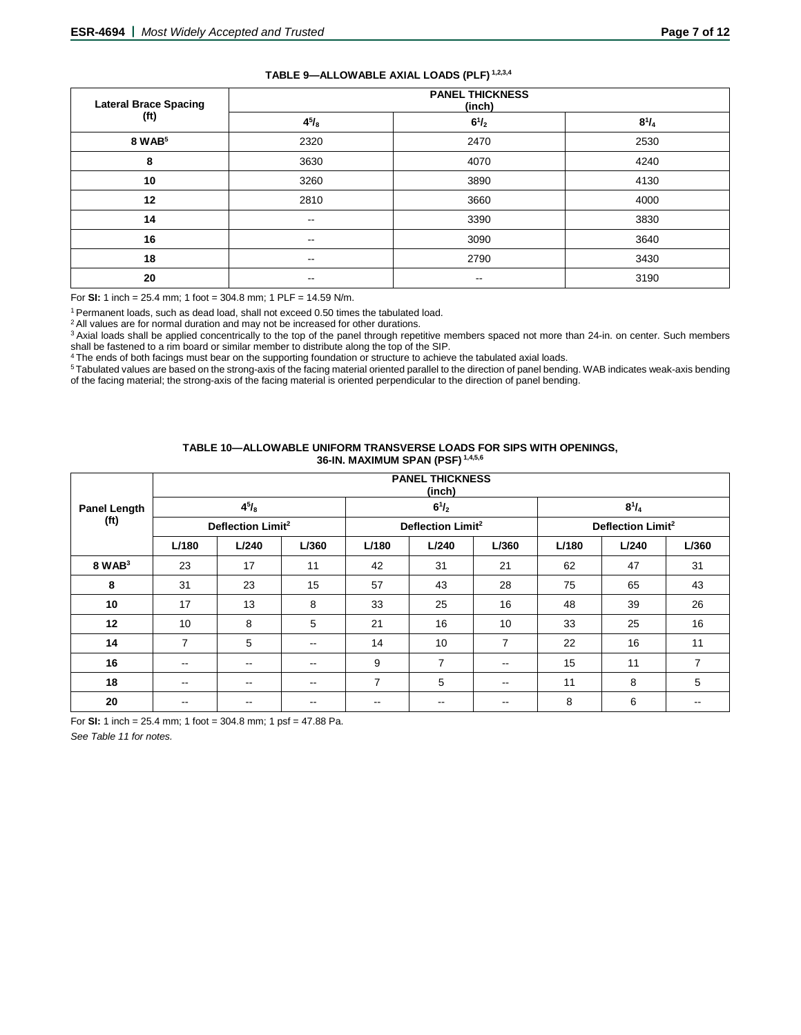| TABLE 9-ALLOWABLE AXIAL LOADS (PLF) 1,2,3,4 |  |  |
|---------------------------------------------|--|--|
|---------------------------------------------|--|--|

| <b>Lateral Brace Spacing</b> | <b>PANEL THICKNESS</b><br>(inch) |                          |              |  |  |  |
|------------------------------|----------------------------------|--------------------------|--------------|--|--|--|
| (f <sup>t</sup> )            | $4^{5}/_{8}$                     | $6^{1}/_{2}$             | $8^{1}/_{4}$ |  |  |  |
| 8 WAB <sup>5</sup>           | 2320                             | 2470                     | 2530         |  |  |  |
| 8                            | 3630                             | 4070                     | 4240         |  |  |  |
| 10                           | 3260                             | 3890                     | 4130         |  |  |  |
| 12                           | 2810                             | 3660                     | 4000         |  |  |  |
| 14                           | $-$                              | 3390                     | 3830         |  |  |  |
| 16                           | $\sim$ $\sim$                    | 3090                     | 3640         |  |  |  |
| 18                           | $\sim$                           | 2790                     | 3430         |  |  |  |
| 20                           | $\overline{\phantom{m}}$         | $\overline{\phantom{m}}$ | 3190         |  |  |  |

For **SI:** 1 inch = 25.4 mm; 1 foot = 304.8 mm; 1 PLF = 14.59 N/m.

1 Permanent loads, such as dead load, shall not exceed 0.50 times the tabulated load.

<sup>2</sup> All values are for normal duration and may not be increased for other durations.

<sup>3</sup> Axial loads shall be applied concentrically to the top of the panel through repetitive members spaced not more than 24-in. on center. Such members shall be fastened to a rim board or similar member to distribute along the top of the SIP.

<sup>4</sup> The ends of both facings must bear on the supporting foundation or structure to achieve the tabulated axial loads. 5 Tabulated values are based on the strong-axis of the facing material oriented parallel to the direction of panel bending. WAB indicates weak-axis bending

of the facing material; the strong-axis of the facing material is oriented perpendicular to the direction of panel bending.

#### **TABLE 10—ALLOWABLE UNIFORM TRANSVERSE LOADS FOR SIPS WITH OPENINGS, 36-IN. MAXIMUM SPAN (PSF) 1,4,5,6**

|                     |                          |                               |                          |                | <b>PANEL THICKNESS</b><br>(inch) |                |              |                               |       |
|---------------------|--------------------------|-------------------------------|--------------------------|----------------|----------------------------------|----------------|--------------|-------------------------------|-------|
| <b>Panel Length</b> |                          | $4^{5}/_{8}$                  |                          |                | $6^{1}/_{2}$                     |                | $8^{1}/_{4}$ |                               |       |
| (f <sup>t</sup> )   |                          | Deflection Limit <sup>2</sup> |                          |                | Deflection Limit <sup>2</sup>    |                |              | Deflection Limit <sup>2</sup> |       |
|                     | L/180                    | L/240                         | L/360                    | L/180          | L/240                            | L/360          | L/180        | L/240                         | L/360 |
| $8$ WAB $3$         | 23                       | 17                            | 11                       | 42             | 31                               | 21             | 62           | 47                            | 31    |
| 8                   | 31                       | 23                            | 15                       | 57             | 43                               | 28             | 75           | 65                            | 43    |
| 10                  | 17                       | 13                            | 8                        | 33             | 25                               | 16             | 48           | 39                            | 26    |
| 12                  | 10                       | 8                             | 5                        | 21             | 16                               | 10             | 33           | 25                            | 16    |
| 14                  | $\overline{7}$           | 5                             | $- -$                    | 14             | 10                               | $\overline{7}$ | 22           | 16                            | 11    |
| 16                  | $\overline{\phantom{a}}$ | $- -$                         | $\qquad \qquad -$        | 9              | $\overline{7}$                   | $\sim$ $\sim$  | 15           | 11                            | 7     |
| 18                  | $\overline{\phantom{a}}$ | $- -$                         | $\overline{\phantom{m}}$ | $\overline{7}$ | 5                                | $- -$          | 11           | 8                             | 5     |
| 20                  |                          |                               |                          |                |                                  |                | 8            | 6                             |       |

For **SI:** 1 inch = 25.4 mm; 1 foot = 304.8 mm; 1 psf = 47.88 Pa.

*See Table 11 for notes.*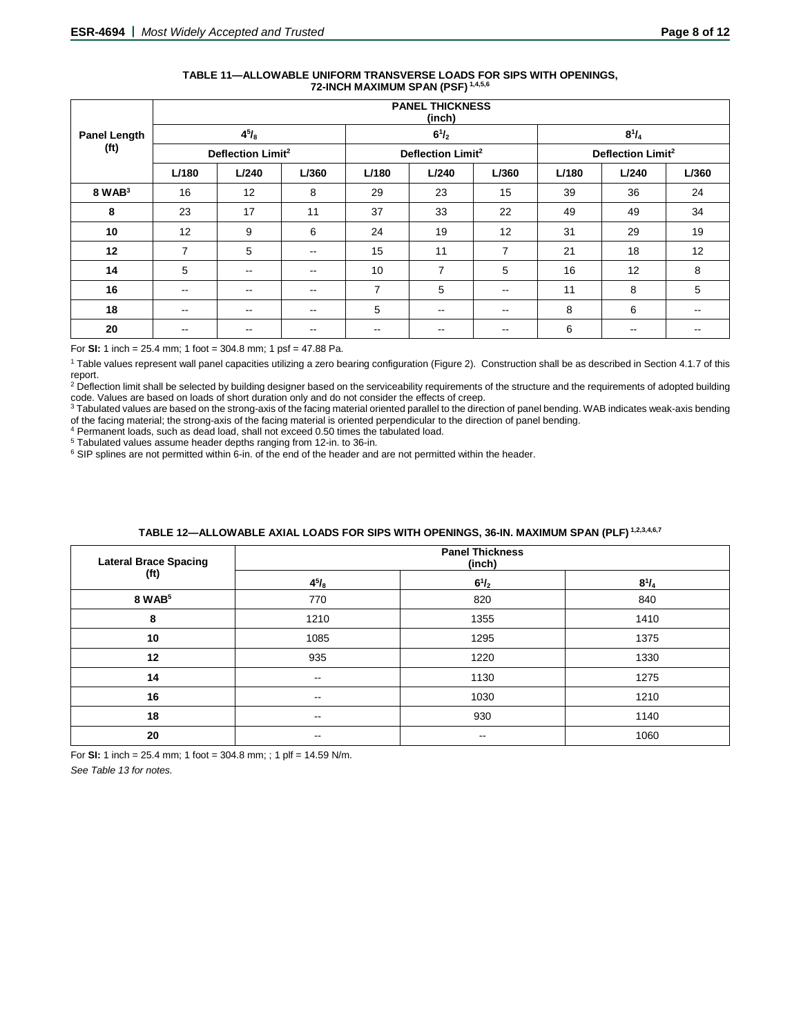| TABLE 11—ALLOWABLE UNIFORM TRANSVERSE LOADS FOR SIPS WITH OPENINGS. |
|---------------------------------------------------------------------|
| 72-INCH MAXIMUM SPAN (PSF) 1,4,5,6                                  |

|                                          | <b>PANEL THICKNESS</b><br>(inch) |               |                               |                          |                          |                               |       |       |       |
|------------------------------------------|----------------------------------|---------------|-------------------------------|--------------------------|--------------------------|-------------------------------|-------|-------|-------|
| <b>Panel Length</b><br>(f <sup>t</sup> ) | $4^{5}/_{8}$                     |               |                               | $6^{1}/_{2}$             |                          | $8^{1}/_{4}$                  |       |       |       |
|                                          | Deflection Limit <sup>2</sup>    |               | Deflection Limit <sup>2</sup> |                          |                          | Deflection Limit <sup>2</sup> |       |       |       |
|                                          | L/180                            | L/240         | L/360                         | L/180                    | L/240                    | L/360                         | L/180 | L/240 | L/360 |
| $8$ WAB $3$                              | 16                               | 12            | 8                             | 29                       | 23                       | 15                            | 39    | 36    | 24    |
| 8                                        | 23                               | 17            | 11                            | 37                       | 33                       | 22                            | 49    | 49    | 34    |
| 10                                       | 12                               | 9             | 6                             | 24                       | 19                       | 12                            | 31    | 29    | 19    |
| 12                                       | 7                                | 5             | $\overline{\phantom{m}}$      | 15                       | 11                       | 7                             | 21    | 18    | 12    |
| 14                                       | 5                                | $\sim$ $\sim$ | $\sim$ $\sim$                 | 10                       | 7                        | 5                             | 16    | 12    | 8     |
| 16                                       | $\overline{\phantom{a}}$         | $\sim$ $\sim$ | $\sim$ $\sim$                 | $\overline{7}$           | 5                        | $\sim$                        | 11    | 8     | 5     |
| 18                                       | $\overline{\phantom{m}}$         | $\sim$ $\sim$ | $\sim$ $\sim$                 | 5                        | $- -$                    | $\sim$ $\sim$                 | 8     | 6     | --    |
| 20                                       | $\overline{\phantom{m}}$         | $- -$         | $\overline{\phantom{m}}$      | $\overline{\phantom{m}}$ | $\overline{\phantom{m}}$ | $- -$                         | 6     | $- -$ | --    |

For **SI:** 1 inch = 25.4 mm; 1 foot = 304.8 mm; 1 psf = 47.88 Pa.

<sup>1</sup> Table values represent wall panel capacities utilizing a zero bearing configuration (Figure 2). Construction shall be as described in Section 4.1.7 of this report.

<sup>2</sup> Deflection limit shall be selected by building designer based on the serviceability requirements of the structure and the requirements of adopted building code. Values are based on loads of short duration only and do not consider the effects of creep.

3 Tabulated values are based on the strong-axis of the facing material oriented parallel to the direction of panel bending. WAB indicates weak-axis bending of the facing material; the strong-axis of the facing material is oriented perpendicular to the direction of panel bending.

 $4$  Permanent loads, such as dead load, shall not exceed 0.50 times the tabulated load.<br> $5$  Tabulated values assume header depths ranging from 12-in. to 36-in.

 $6$  SIP splines are not permitted within 6-in. of the end of the header and are not permitted within the header.

| <b>Lateral Brace Spacing</b> | <b>Panel Thickness</b><br>(inch) |                          |              |  |  |
|------------------------------|----------------------------------|--------------------------|--------------|--|--|
| (f <sup>t</sup> )            | $4^{5}/_{8}$                     | $6^{1}/_{2}$             | $8^{1}/_{4}$ |  |  |
| 8 WAB <sup>5</sup>           | 770                              | 820                      | 840          |  |  |
| 8                            | 1210                             | 1355                     | 1410         |  |  |
| 10                           | 1085                             | 1295                     | 1375         |  |  |
| 12                           | 935                              | 1220                     | 1330         |  |  |
| 14                           | $- -$                            | 1130                     | 1275         |  |  |
| 16                           | $- -$                            | 1030                     | 1210         |  |  |
| 18                           | $- -$                            | 930                      | 1140         |  |  |
| 20                           | $- -$                            | $\overline{\phantom{m}}$ | 1060         |  |  |

# **TABLE 12—ALLOWABLE AXIAL LOADS FOR SIPS WITH OPENINGS, 36-IN. MAXIMUM SPAN (PLF) 1,2,3,4,6,7**

For **SI:** 1 inch = 25.4 mm; 1 foot = 304.8 mm; ; 1 plf = 14.59 N/m.

*See Table 13 for notes.*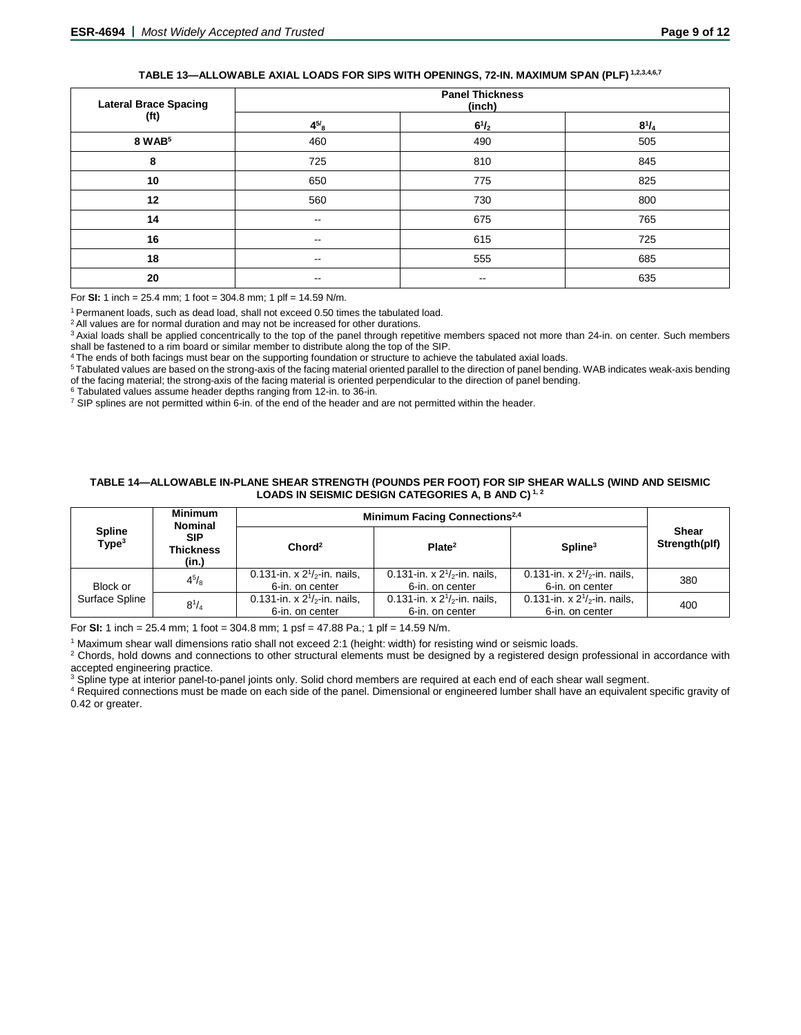# **TABLE 13—ALLOWABLE AXIAL LOADS FOR SIPS WITH OPENINGS, 72-IN. MAXIMUM SPAN (PLF) 1,2,3,4,6,7**

| <b>Lateral Brace Spacing</b> | <b>Panel Thickness</b><br>(inch) |                          |              |  |
|------------------------------|----------------------------------|--------------------------|--------------|--|
| (ft)                         | $4^{5/8}$                        | $6^{1}/_{2}$             | $8^{1}/_{4}$ |  |
| 8 WAB <sup>5</sup>           | 460                              | 490                      | 505          |  |
| 8                            | 725                              | 810                      | 845          |  |
| 10                           | 650                              | 775                      | 825          |  |
| 12                           | 560                              | 730                      | 800          |  |
| 14                           | $\sim$ $\sim$                    | 675                      | 765          |  |
| 16                           | $- -$                            | 615                      | 725          |  |
| 18                           | $\sim$ $\sim$                    | 555                      | 685          |  |
| 20                           | --                               | $\overline{\phantom{m}}$ | 635          |  |

For **SI:** 1 inch = 25.4 mm; 1 foot = 304.8 mm; 1 plf = 14.59 N/m.

1 Permanent loads, such as dead load, shall not exceed 0.50 times the tabulated load.

<sup>2</sup> All values are for normal duration and may not be increased for other durations.

<sup>3</sup> Axial loads shall be applied concentrically to the top of the panel through repetitive members spaced not more than 24-in. on center. Such members shall be fastened to a rim board or similar member to distribute along the top of the SIP.

The ends of both facings must bear on the supporting foundation or structure to achieve the tabulated axial loads.

5 Tabulated values are based on the strong-axis of the facing material oriented parallel to the direction of panel bending. WAB indicates weak-axis bending of the facing material; the strong-axis of the facing material is oriented perpendicular to the direction of panel bending.<br><sup>6</sup> Tabulated values assume header depths ranging from 12-in. to 36-in.

 $\frac{7}{1}$  SIP splines are not permitted within 6-in. of the end of the header and are not permitted within the header.

#### **TABLE 14—ALLOWABLE IN-PLANE SHEAR STRENGTH (POUNDS PER FOOT) FOR SIP SHEAR WALLS (WIND AND SEISMIC LOADS IN SEISMIC DESIGN CATEGORIES A, B AND C) 1, 2**

|                                    | <b>Minimum</b><br><b>Nominal</b>        | Minimum Facing Connections <sup>2,4</sup>            |                                                      |                                                         |                        |
|------------------------------------|-----------------------------------------|------------------------------------------------------|------------------------------------------------------|---------------------------------------------------------|------------------------|
| <b>Spline</b><br>Type <sup>3</sup> | <b>SIP</b><br><b>Thickness</b><br>(in.) | Chord <sup>2</sup>                                   | Plate <sup>2</sup>                                   | $S$ pline <sup>3</sup>                                  | Shear<br>Strength(plf) |
| Block or                           | $4^{5}/_8$                              | 0.131-in. x $2^{1}/2$ -in. nails,<br>6-in. on center | 0.131-in. x $2^{1}/2$ -in. nails,<br>6-in. on center | 0.131-in. x $2^{1}/_{2}$ -in. nails,<br>6-in. on center | 380                    |
| Surface Spline                     | $8^{1}/_{4}$                            | 0.131-in. x $2^{1/2}$ -in. nails,<br>6-in. on center | 0.131-in. x $2^{1}/2$ -in. nails,<br>6-in. on center | 0.131-in. x $2^{1/2}$ -in. nails,<br>6-in. on center    | 400                    |

For **SI:** 1 inch = 25.4 mm; 1 foot = 304.8 mm; 1 psf = 47.88 Pa.; 1 plf = 14.59 N/m.

<sup>1</sup> Maximum shear wall dimensions ratio shall not exceed 2:1 (height: width) for resisting wind or seismic loads.

<sup>2</sup> Chords, hold downs and connections to other structural elements must be designed by a registered design professional in accordance with accepted engineering practice.

<sup>3</sup> Spline type at interior panel-to-panel joints only. Solid chord members are required at each end of each shear wall segment.

<sup>4</sup> Required connections must be made on each side of the panel. Dimensional or engineered lumber shall have an equivalent specific gravity of 0.42 or greater.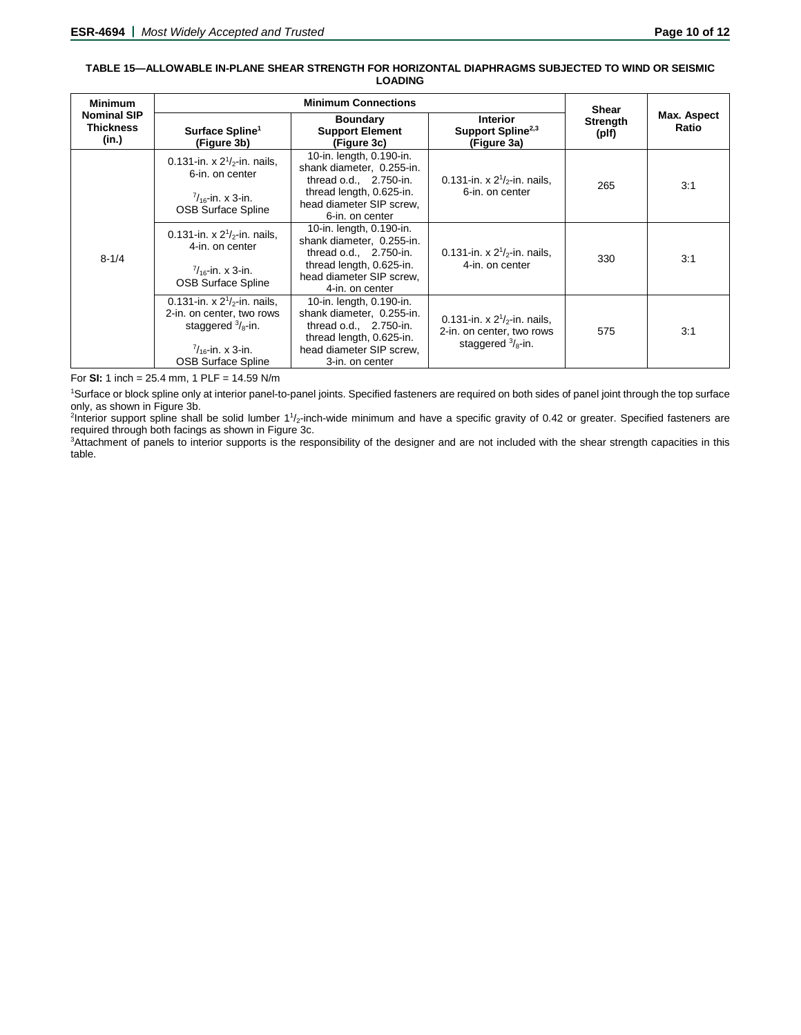#### **TABLE 15—ALLOWABLE IN-PLANE SHEAR STRENGTH FOR HORIZONTAL DIAPHRAGMS SUBJECTED TO WIND OR SEISMIC LOADING**

| <b>Minimum</b>                                  |                                                                                                                                                            | <b>Shear</b>                                                                                                                                                 |                                                                                                |                   |                      |
|-------------------------------------------------|------------------------------------------------------------------------------------------------------------------------------------------------------------|--------------------------------------------------------------------------------------------------------------------------------------------------------------|------------------------------------------------------------------------------------------------|-------------------|----------------------|
| <b>Nominal SIP</b><br><b>Thickness</b><br>(in.) | Surface Spline <sup>1</sup><br>(Figure 3b)                                                                                                                 | <b>Boundary</b><br><b>Support Element</b><br>(Figure 3c)                                                                                                     | <b>Interior</b><br>Support Spline <sup>2,3</sup><br>(Figure 3a)                                | Strength<br>(plf) | Max. Aspect<br>Ratio |
| $8 - 1/4$                                       | 0.131-in. x $2^{1}/2$ -in. nails,<br>6-in. on center<br>$\frac{7}{16}$ -in. x 3-in.<br><b>OSB Surface Spline</b>                                           | 10-in. length, 0.190-in.<br>shank diameter, 0.255-in.<br>thread $o.d., 2.750-in.$<br>thread length, 0.625-in.<br>head diameter SIP screw.<br>6-in. on center | 0.131-in. x $2^{1}/2$ -in. nails,<br>6-in. on center                                           | 265               | 3:1                  |
|                                                 | 0.131-in. x $2^{1}/2$ -in. nails,<br>4-in. on center<br>$\frac{7}{16}$ -in. x 3-in.<br><b>OSB Surface Spline</b>                                           | 10-in. length, 0.190-in.<br>shank diameter, 0.255-in.<br>thread $o.d., 2.750-in.$<br>thread length, 0.625-in.<br>head diameter SIP screw,<br>4-in. on center | 0.131-in. x $2^{1}/2$ -in. nails,<br>4-in. on center                                           | 330               | 3:1                  |
|                                                 | 0.131-in. x $2^{1/2}$ -in. nails.<br>2-in. on center, two rows<br>staggered $\frac{3}{8}$ -in.<br>$\frac{7}{16}$ -in. x 3-in.<br><b>OSB Surface Spline</b> | 10-in. length, 0.190-in.<br>shank diameter, 0.255-in.<br>thread o.d., 2.750-in.<br>thread length, 0.625-in.<br>head diameter SIP screw,<br>3-in. on center   | 0.131-in. x $2^{1}/2$ -in. nails,<br>2-in. on center, two rows<br>staggered $\frac{3}{8}$ -in. | 575               | 3:1                  |

For **SI:** 1 inch = 25.4 mm, 1 PLF = 14.59 N/m

1 Surface or block spline only at interior panel-to-panel joints. Specified fasteners are required on both sides of panel joint through the top surface only, as shown in Figure 3b.

<sup>2</sup>Interior support spline shall be solid lumber 1<sup>1</sup>/<sub>2</sub>-inch-wide minimum and have a specific gravity of 0.42 or greater. Specified fasteners are required through both facings as shown in Figure 3c.

3 Attachment of panels to interior supports is the responsibility of the designer and are not included with the shear strength capacities in this table.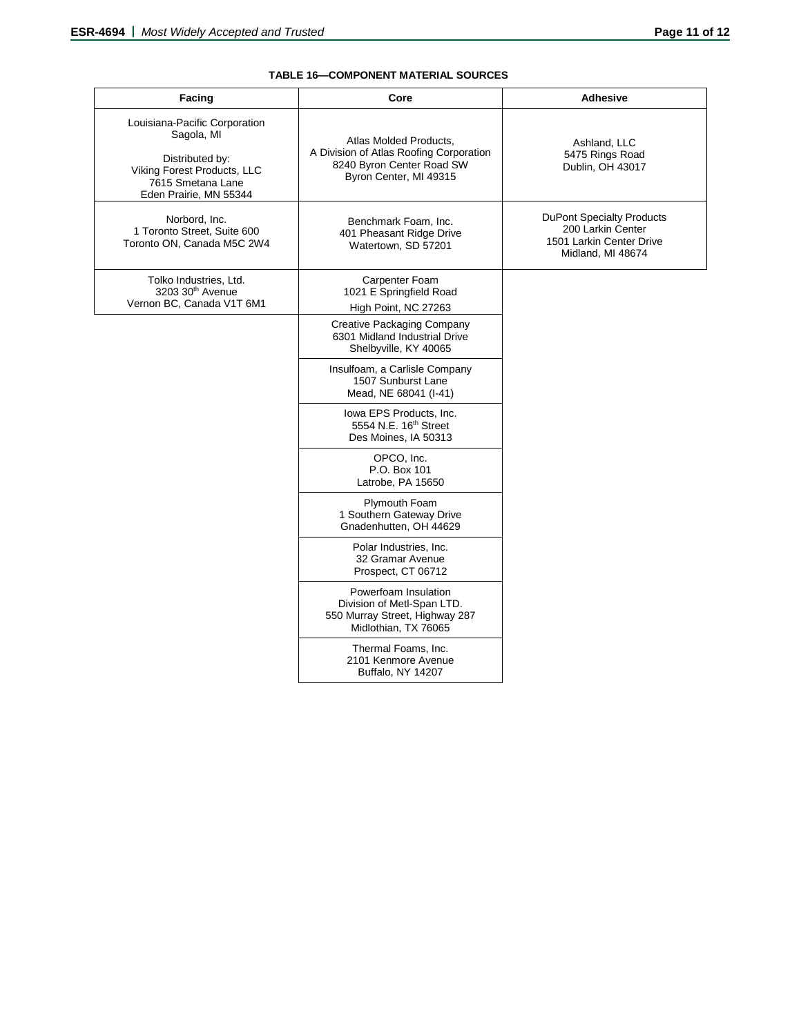# **TABLE 16—COMPONENT MATERIAL SOURCES**

| <b>Facing</b>                                                                                                                                | Core                                                                                                                     | <b>Adhesive</b>                                                                                        |
|----------------------------------------------------------------------------------------------------------------------------------------------|--------------------------------------------------------------------------------------------------------------------------|--------------------------------------------------------------------------------------------------------|
| Louisiana-Pacific Corporation<br>Sagola, MI<br>Distributed by:<br>Viking Forest Products, LLC<br>7615 Smetana Lane<br>Eden Prairie, MN 55344 | Atlas Molded Products,<br>A Division of Atlas Roofing Corporation<br>8240 Byron Center Road SW<br>Byron Center, MI 49315 | Ashland, LLC<br>5475 Rings Road<br>Dublin, OH 43017                                                    |
| Norbord, Inc.<br>1 Toronto Street, Suite 600<br>Toronto ON. Canada M5C 2W4                                                                   | Benchmark Foam, Inc.<br>401 Pheasant Ridge Drive<br>Watertown, SD 57201                                                  | <b>DuPont Specialty Products</b><br>200 Larkin Center<br>1501 Larkin Center Drive<br>Midland, MI 48674 |
| Tolko Industries, Ltd.<br>3203 30th Avenue<br>Vernon BC, Canada V1T 6M1                                                                      | Carpenter Foam<br>1021 E Springfield Road<br>High Point, NC 27263                                                        |                                                                                                        |
|                                                                                                                                              | Creative Packaging Company<br>6301 Midland Industrial Drive<br>Shelbyville, KY 40065                                     |                                                                                                        |
|                                                                                                                                              | Insulfoam, a Carlisle Company<br>1507 Sunburst Lane<br>Mead, NE 68041 (I-41)                                             |                                                                                                        |
|                                                                                                                                              | Iowa EPS Products, Inc.<br>5554 N.E. 16 <sup>th</sup> Street<br>Des Moines, IA 50313                                     |                                                                                                        |
|                                                                                                                                              | OPCO, Inc.<br>P.O. Box 101<br>Latrobe, PA 15650                                                                          |                                                                                                        |
|                                                                                                                                              | Plymouth Foam<br>1 Southern Gateway Drive<br>Gnadenhutten, OH 44629                                                      |                                                                                                        |
|                                                                                                                                              | Polar Industries, Inc.<br>32 Gramar Avenue<br>Prospect, CT 06712                                                         |                                                                                                        |
|                                                                                                                                              | Powerfoam Insulation<br>Division of Metl-Span LTD.<br>550 Murray Street, Highway 287<br>Midlothian, TX 76065             |                                                                                                        |
|                                                                                                                                              | Thermal Foams, Inc.<br>2101 Kenmore Avenue<br>Buffalo, NY 14207                                                          |                                                                                                        |